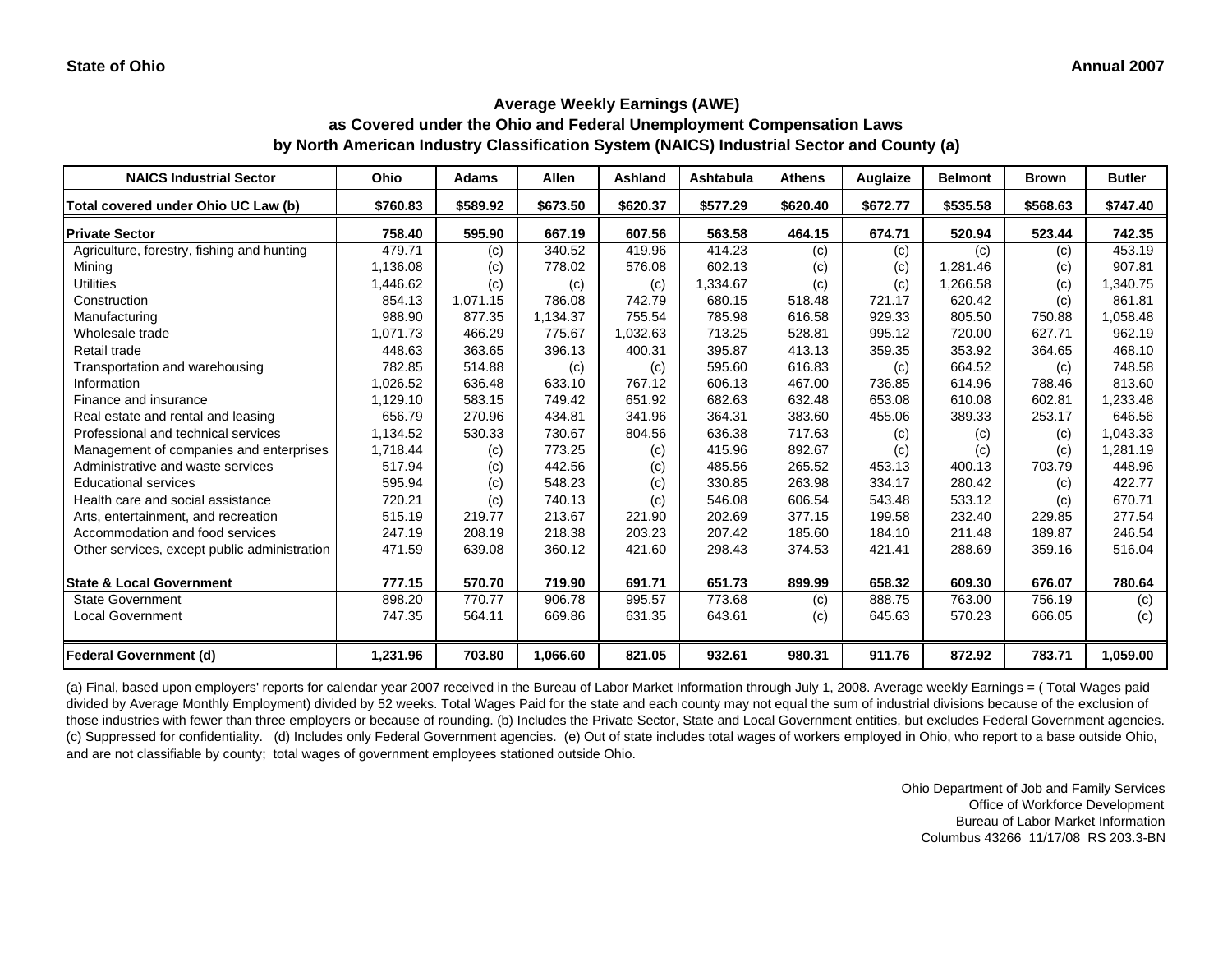**as Covered under the Ohio and Federal Unemployment Compensation Laws by North American Industry Classification System (NAICS) Industrial Sector and County (a)**

| <b>NAICS Industrial Sector</b>               | Ohio     | Adams    | Allen    | Ashland  | Ashtabula | <b>Athens</b> | Auglaize | <b>Belmont</b> | <b>Brown</b> | <b>Butler</b> |
|----------------------------------------------|----------|----------|----------|----------|-----------|---------------|----------|----------------|--------------|---------------|
| Total covered under Ohio UC Law (b)          | \$760.83 | \$589.92 | \$673.50 | \$620.37 | \$577.29  | \$620.40      | \$672.77 | \$535.58       | \$568.63     | \$747.40      |
| <b>Private Sector</b>                        | 758.40   | 595.90   | 667.19   | 607.56   | 563.58    | 464.15        | 674.71   | 520.94         | 523.44       | 742.35        |
| Agriculture, forestry, fishing and hunting   | 479.71   | (c)      | 340.52   | 419.96   | 414.23    | (c)           | (c)      | (c)            | (c)          | 453.19        |
| Mining                                       | 1,136.08 | (c)      | 778.02   | 576.08   | 602.13    | (c)           | (c)      | 1.281.46       | (c)          | 907.81        |
| <b>Utilities</b>                             | 1,446.62 | (c)      | (c)      | (c)      | 1,334.67  | (c)           | (c)      | 1,266.58       | (c)          | 1,340.75      |
| Construction                                 | 854.13   | 1.071.15 | 786.08   | 742.79   | 680.15    | 518.48        | 721.17   | 620.42         | (c)          | 861.81        |
| Manufacturing                                | 988.90   | 877.35   | 1,134.37 | 755.54   | 785.98    | 616.58        | 929.33   | 805.50         | 750.88       | 1,058.48      |
| Wholesale trade                              | 1,071.73 | 466.29   | 775.67   | 1,032.63 | 713.25    | 528.81        | 995.12   | 720.00         | 627.71       | 962.19        |
| Retail trade                                 | 448.63   | 363.65   | 396.13   | 400.31   | 395.87    | 413.13        | 359.35   | 353.92         | 364.65       | 468.10        |
| Transportation and warehousing               | 782.85   | 514.88   | (c)      | (c)      | 595.60    | 616.83        | (c)      | 664.52         | (c)          | 748.58        |
| Information                                  | 1.026.52 | 636.48   | 633.10   | 767.12   | 606.13    | 467.00        | 736.85   | 614.96         | 788.46       | 813.60        |
| Finance and insurance                        | 1,129.10 | 583.15   | 749.42   | 651.92   | 682.63    | 632.48        | 653.08   | 610.08         | 602.81       | 1,233.48      |
| Real estate and rental and leasing           | 656.79   | 270.96   | 434.81   | 341.96   | 364.31    | 383.60        | 455.06   | 389.33         | 253.17       | 646.56        |
| Professional and technical services          | 1,134.52 | 530.33   | 730.67   | 804.56   | 636.38    | 717.63        | (c)      | (c)            | (c)          | 1.043.33      |
| Management of companies and enterprises      | 1,718.44 | (c)      | 773.25   | (c)      | 415.96    | 892.67        | (c)      | (c)            | (c)          | 1.281.19      |
| Administrative and waste services            | 517.94   | (c)      | 442.56   | (c)      | 485.56    | 265.52        | 453.13   | 400.13         | 703.79       | 448.96        |
| <b>Educational services</b>                  | 595.94   | (c)      | 548.23   | (c)      | 330.85    | 263.98        | 334.17   | 280.42         | (c)          | 422.77        |
| Health care and social assistance            | 720.21   | (c)      | 740.13   | (c)      | 546.08    | 606.54        | 543.48   | 533.12         | (c)          | 670.71        |
| Arts, entertainment, and recreation          | 515.19   | 219.77   | 213.67   | 221.90   | 202.69    | 377.15        | 199.58   | 232.40         | 229.85       | 277.54        |
| Accommodation and food services              | 247.19   | 208.19   | 218.38   | 203.23   | 207.42    | 185.60        | 184.10   | 211.48         | 189.87       | 246.54        |
| Other services, except public administration | 471.59   | 639.08   | 360.12   | 421.60   | 298.43    | 374.53        | 421.41   | 288.69         | 359.16       | 516.04        |
| <b>State &amp; Local Government</b>          | 777.15   | 570.70   | 719.90   | 691.71   | 651.73    | 899.99        | 658.32   | 609.30         | 676.07       | 780.64        |
| <b>State Government</b>                      | 898.20   | 770.77   | 906.78   | 995.57   | 773.68    | (c)           | 888.75   | 763.00         | 756.19       | (c)           |
| <b>Local Government</b>                      | 747.35   | 564.11   | 669.86   | 631.35   | 643.61    | (c)           | 645.63   | 570.23         | 666.05       | (c)           |
| <b>Federal Government (d)</b>                | 1,231.96 | 703.80   | 1,066.60 | 821.05   | 932.61    | 980.31        | 911.76   | 872.92         | 783.71       | 1,059.00      |

(a) Final, based upon employers' reports for calendar year 2007 received in the Bureau of Labor Market Information through July 1, 2008. Average weekly Earnings = ( Total Wages paid divided by Average Monthly Employment) divided by 52 weeks. Total Wages Paid for the state and each county may not equal the sum of industrial divisions because of the exclusion of those industries with fewer than three employers or because of rounding. (b) Includes the Private Sector, State and Local Government entities, but excludes Federal Government agencies. (c) Suppressed for confidentiality. (d) Includes only Federal Government agencies. (e) Out of state includes total wages of workers employed in Ohio, who report to a base outside Ohio, and are not classifiable by county; total wages of government employees stationed outside Ohio.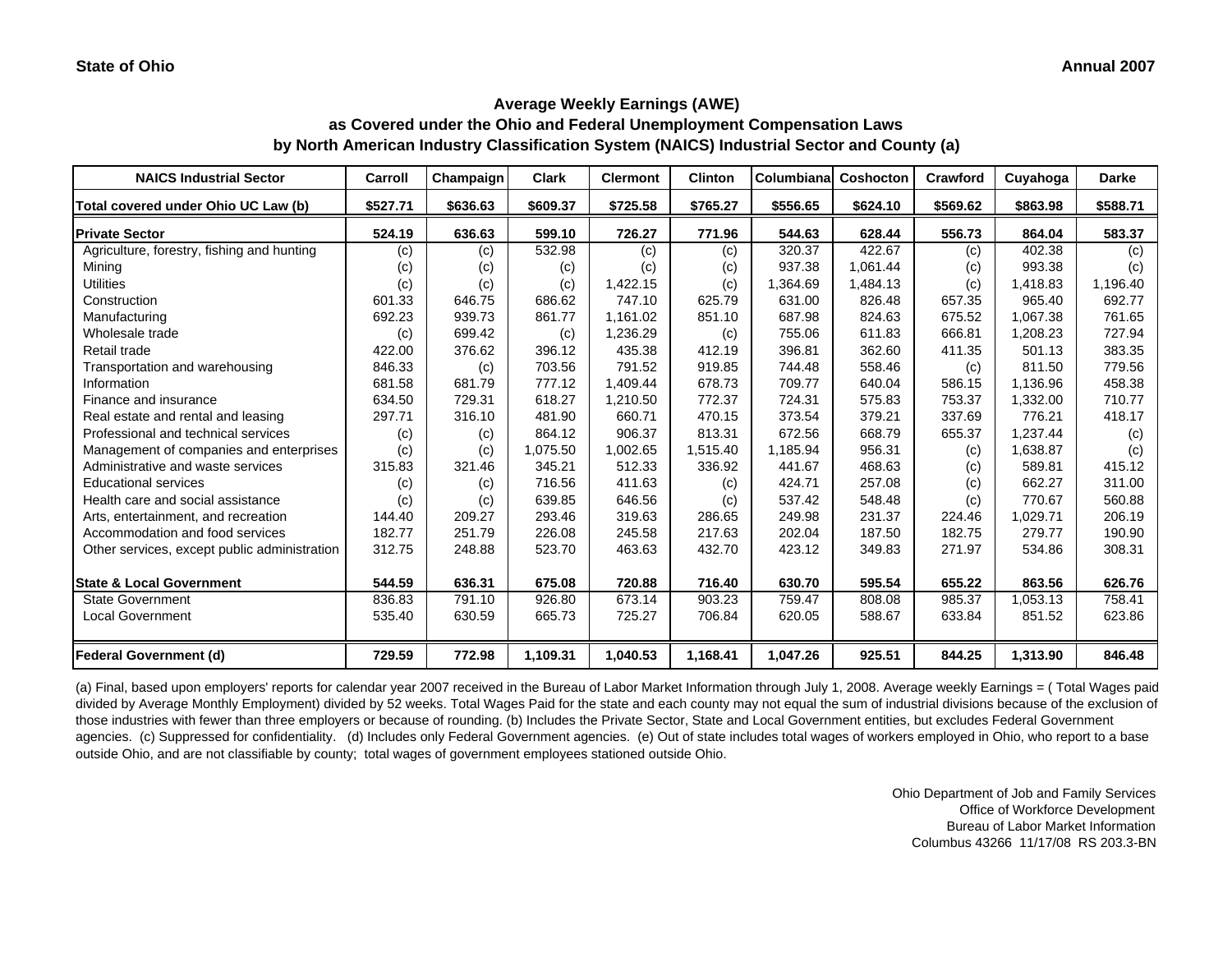**as Covered under the Ohio and Federal Unemployment Compensation Laws by North American Industry Classification System (NAICS) Industrial Sector and County (a)**

| <b>NAICS Industrial Sector</b>               | Carroll  | Champaign | <b>Clark</b> | <b>Clermont</b> | <b>Clinton</b> | Columbiana | Coshocton | Crawford | Cuyahoga | <b>Darke</b> |
|----------------------------------------------|----------|-----------|--------------|-----------------|----------------|------------|-----------|----------|----------|--------------|
| Total covered under Ohio UC Law (b)          | \$527.71 | \$636.63  | \$609.37     | \$725.58        | \$765.27       | \$556.65   | \$624.10  | \$569.62 | \$863.98 | \$588.71     |
| <b>Private Sector</b>                        | 524.19   | 636.63    | 599.10       | 726.27          | 771.96         | 544.63     | 628.44    | 556.73   | 864.04   | 583.37       |
| Agriculture, forestry, fishing and hunting   | (c)      | (c)       | 532.98       | (c)             | (c)            | 320.37     | 422.67    | (c)      | 402.38   | (c)          |
| Mining                                       | (c)      | (c)       | (c)          | (c)             | (c)            | 937.38     | 1,061.44  | (c)      | 993.38   | (c)          |
| <b>Utilities</b>                             | (c)      | (c)       | (c)          | 1,422.15        | (c)            | 1,364.69   | 1,484.13  | (c)      | 1,418.83 | 1,196.40     |
| Construction                                 | 601.33   | 646.75    | 686.62       | 747.10          | 625.79         | 631.00     | 826.48    | 657.35   | 965.40   | 692.77       |
| Manufacturing                                | 692.23   | 939.73    | 861.77       | 1,161.02        | 851.10         | 687.98     | 824.63    | 675.52   | 1,067.38 | 761.65       |
| Wholesale trade                              | (c)      | 699.42    | (c)          | 1,236.29        | (c)            | 755.06     | 611.83    | 666.81   | 1,208.23 | 727.94       |
| Retail trade                                 | 422.00   | 376.62    | 396.12       | 435.38          | 412.19         | 396.81     | 362.60    | 411.35   | 501.13   | 383.35       |
| Transportation and warehousing               | 846.33   | (c)       | 703.56       | 791.52          | 919.85         | 744.48     | 558.46    | (c)      | 811.50   | 779.56       |
| Information                                  | 681.58   | 681.79    | 777.12       | 1,409.44        | 678.73         | 709.77     | 640.04    | 586.15   | 1,136.96 | 458.38       |
| Finance and insurance                        | 634.50   | 729.31    | 618.27       | 1,210.50        | 772.37         | 724.31     | 575.83    | 753.37   | 1,332.00 | 710.77       |
| Real estate and rental and leasing           | 297.71   | 316.10    | 481.90       | 660.71          | 470.15         | 373.54     | 379.21    | 337.69   | 776.21   | 418.17       |
| Professional and technical services          | (c)      | (c)       | 864.12       | 906.37          | 813.31         | 672.56     | 668.79    | 655.37   | 1,237.44 | (c)          |
| Management of companies and enterprises      | (c)      | (c)       | 1,075.50     | 1,002.65        | 1,515.40       | 1,185.94   | 956.31    | (c)      | 1,638.87 | (c)          |
| Administrative and waste services            | 315.83   | 321.46    | 345.21       | 512.33          | 336.92         | 441.67     | 468.63    | (c)      | 589.81   | 415.12       |
| <b>Educational services</b>                  | (c)      | (c)       | 716.56       | 411.63          | (c)            | 424.71     | 257.08    | (c)      | 662.27   | 311.00       |
| Health care and social assistance            | (c)      | (c)       | 639.85       | 646.56          | (c)            | 537.42     | 548.48    | (c)      | 770.67   | 560.88       |
| Arts, entertainment, and recreation          | 144.40   | 209.27    | 293.46       | 319.63          | 286.65         | 249.98     | 231.37    | 224.46   | 1,029.71 | 206.19       |
| Accommodation and food services              | 182.77   | 251.79    | 226.08       | 245.58          | 217.63         | 202.04     | 187.50    | 182.75   | 279.77   | 190.90       |
| Other services, except public administration | 312.75   | 248.88    | 523.70       | 463.63          | 432.70         | 423.12     | 349.83    | 271.97   | 534.86   | 308.31       |
| <b>State &amp; Local Government</b>          | 544.59   | 636.31    | 675.08       | 720.88          | 716.40         | 630.70     | 595.54    | 655.22   | 863.56   | 626.76       |
| <b>State Government</b>                      | 836.83   | 791.10    | 926.80       | 673.14          | 903.23         | 759.47     | 808.08    | 985.37   | 1,053.13 | 758.41       |
| <b>Local Government</b>                      | 535.40   | 630.59    | 665.73       | 725.27          | 706.84         | 620.05     | 588.67    | 633.84   | 851.52   | 623.86       |
| <b>Federal Government (d)</b>                | 729.59   | 772.98    | 1,109.31     | 1,040.53        | 1,168.41       | 1,047.26   | 925.51    | 844.25   | 1,313.90 | 846.48       |

(a) Final, based upon employers' reports for calendar year 2007 received in the Bureau of Labor Market Information through July 1, 2008. Average weekly Earnings = ( Total Wages paid divided by Average Monthly Employment) divided by 52 weeks. Total Wages Paid for the state and each county may not equal the sum of industrial divisions because of the exclusion of those industries with fewer than three employers or because of rounding. (b) Includes the Private Sector, State and Local Government entities, but excludes Federal Government agencies. (c) Suppressed for confidentiality. (d) Includes only Federal Government agencies. (e) Out of state includes total wages of workers employed in Ohio, who report to a base outside Ohio, and are not classifiable by county; total wages of government employees stationed outside Ohio.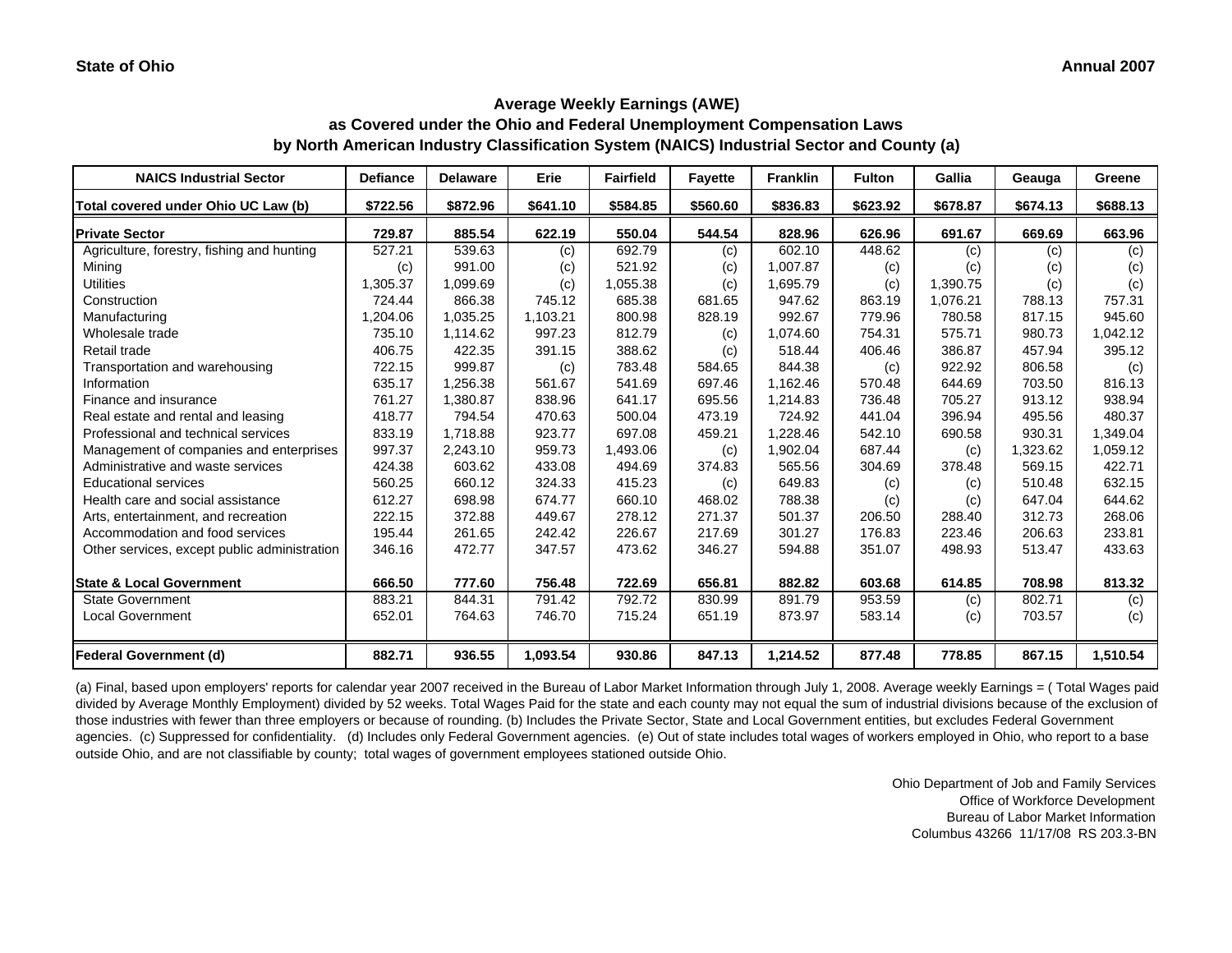**as Covered under the Ohio and Federal Unemployment Compensation Laws by North American Industry Classification System (NAICS) Industrial Sector and County (a)**

| <b>NAICS Industrial Sector</b>               | <b>Defiance</b> | <b>Delaware</b> | Erie     | <b>Fairfield</b> | <b>Fayette</b> | <b>Franklin</b> | <b>Fulton</b> | Gallia   | Geauga   | Greene   |
|----------------------------------------------|-----------------|-----------------|----------|------------------|----------------|-----------------|---------------|----------|----------|----------|
| Total covered under Ohio UC Law (b)          | \$722.56        | \$872.96        | \$641.10 | \$584.85         | \$560.60       | \$836.83        | \$623.92      | \$678.87 | \$674.13 | \$688.13 |
| <b>Private Sector</b>                        | 729.87          | 885.54          | 622.19   | 550.04           | 544.54         | 828.96          | 626.96        | 691.67   | 669.69   | 663.96   |
| Agriculture, forestry, fishing and hunting   | 527.21          | 539.63          | (c)      | 692.79           | (c)            | 602.10          | 448.62        | (c)      | (c)      | (c)      |
| Mining                                       | (c)             | 991.00          | (c)      | 521.92           | (c)            | 1,007.87        | (c)           | (c)      | (c)      | (c)      |
| <b>Utilities</b>                             | 1,305.37        | 1,099.69        | (c)      | 1,055.38         | (c)            | 1,695.79        | (c)           | 1,390.75 | (c)      | (c)      |
| Construction                                 | 724.44          | 866.38          | 745.12   | 685.38           | 681.65         | 947.62          | 863.19        | 1,076.21 | 788.13   | 757.31   |
| Manufacturing                                | 1,204.06        | 1,035.25        | 1,103.21 | 800.98           | 828.19         | 992.67          | 779.96        | 780.58   | 817.15   | 945.60   |
| Wholesale trade                              | 735.10          | 1,114.62        | 997.23   | 812.79           | (c)            | 1,074.60        | 754.31        | 575.71   | 980.73   | 1,042.12 |
| Retail trade                                 | 406.75          | 422.35          | 391.15   | 388.62           | (c)            | 518.44          | 406.46        | 386.87   | 457.94   | 395.12   |
| Transportation and warehousing               | 722.15          | 999.87          | (c)      | 783.48           | 584.65         | 844.38          | (c)           | 922.92   | 806.58   | (c)      |
| Information                                  | 635.17          | 1,256.38        | 561.67   | 541.69           | 697.46         | 1,162.46        | 570.48        | 644.69   | 703.50   | 816.13   |
| Finance and insurance                        | 761.27          | 1,380.87        | 838.96   | 641.17           | 695.56         | 1,214.83        | 736.48        | 705.27   | 913.12   | 938.94   |
| Real estate and rental and leasing           | 418.77          | 794.54          | 470.63   | 500.04           | 473.19         | 724.92          | 441.04        | 396.94   | 495.56   | 480.37   |
| Professional and technical services          | 833.19          | 1,718.88        | 923.77   | 697.08           | 459.21         | 1,228.46        | 542.10        | 690.58   | 930.31   | 1,349.04 |
| Management of companies and enterprises      | 997.37          | 2,243.10        | 959.73   | 1,493.06         | (c)            | 1,902.04        | 687.44        | (c)      | 1,323.62 | 1,059.12 |
| Administrative and waste services            | 424.38          | 603.62          | 433.08   | 494.69           | 374.83         | 565.56          | 304.69        | 378.48   | 569.15   | 422.71   |
| <b>Educational services</b>                  | 560.25          | 660.12          | 324.33   | 415.23           | (c)            | 649.83          | (c)           | (c)      | 510.48   | 632.15   |
| Health care and social assistance            | 612.27          | 698.98          | 674.77   | 660.10           | 468.02         | 788.38          | (c)           | (c)      | 647.04   | 644.62   |
| Arts, entertainment, and recreation          | 222.15          | 372.88          | 449.67   | 278.12           | 271.37         | 501.37          | 206.50        | 288.40   | 312.73   | 268.06   |
| Accommodation and food services              | 195.44          | 261.65          | 242.42   | 226.67           | 217.69         | 301.27          | 176.83        | 223.46   | 206.63   | 233.81   |
| Other services, except public administration | 346.16          | 472.77          | 347.57   | 473.62           | 346.27         | 594.88          | 351.07        | 498.93   | 513.47   | 433.63   |
| <b>State &amp; Local Government</b>          | 666.50          | 777.60          | 756.48   | 722.69           | 656.81         | 882.82          | 603.68        | 614.85   | 708.98   | 813.32   |
| <b>State Government</b>                      | 883.21          | 844.31          | 791.42   | 792.72           | 830.99         | 891.79          | 953.59        | (c)      | 802.71   | (c)      |
| <b>Local Government</b>                      | 652.01          | 764.63          | 746.70   | 715.24           | 651.19         | 873.97          | 583.14        | (c)      | 703.57   | (c)      |
|                                              |                 |                 |          |                  |                |                 |               |          |          |          |
| Federal Government (d)                       | 882.71          | 936.55          | 1,093.54 | 930.86           | 847.13         | 1,214.52        | 877.48        | 778.85   | 867.15   | 1,510.54 |

(a) Final, based upon employers' reports for calendar year 2007 received in the Bureau of Labor Market Information through July 1, 2008. Average weekly Earnings = ( Total Wages paid divided by Average Monthly Employment) divided by 52 weeks. Total Wages Paid for the state and each county may not equal the sum of industrial divisions because of the exclusion of those industries with fewer than three employers or because of rounding. (b) Includes the Private Sector, State and Local Government entities, but excludes Federal Government agencies. (c) Suppressed for confidentiality. (d) Includes only Federal Government agencies. (e) Out of state includes total wages of workers employed in Ohio, who report to a base outside Ohio, and are not classifiable by county; total wages of government employees stationed outside Ohio.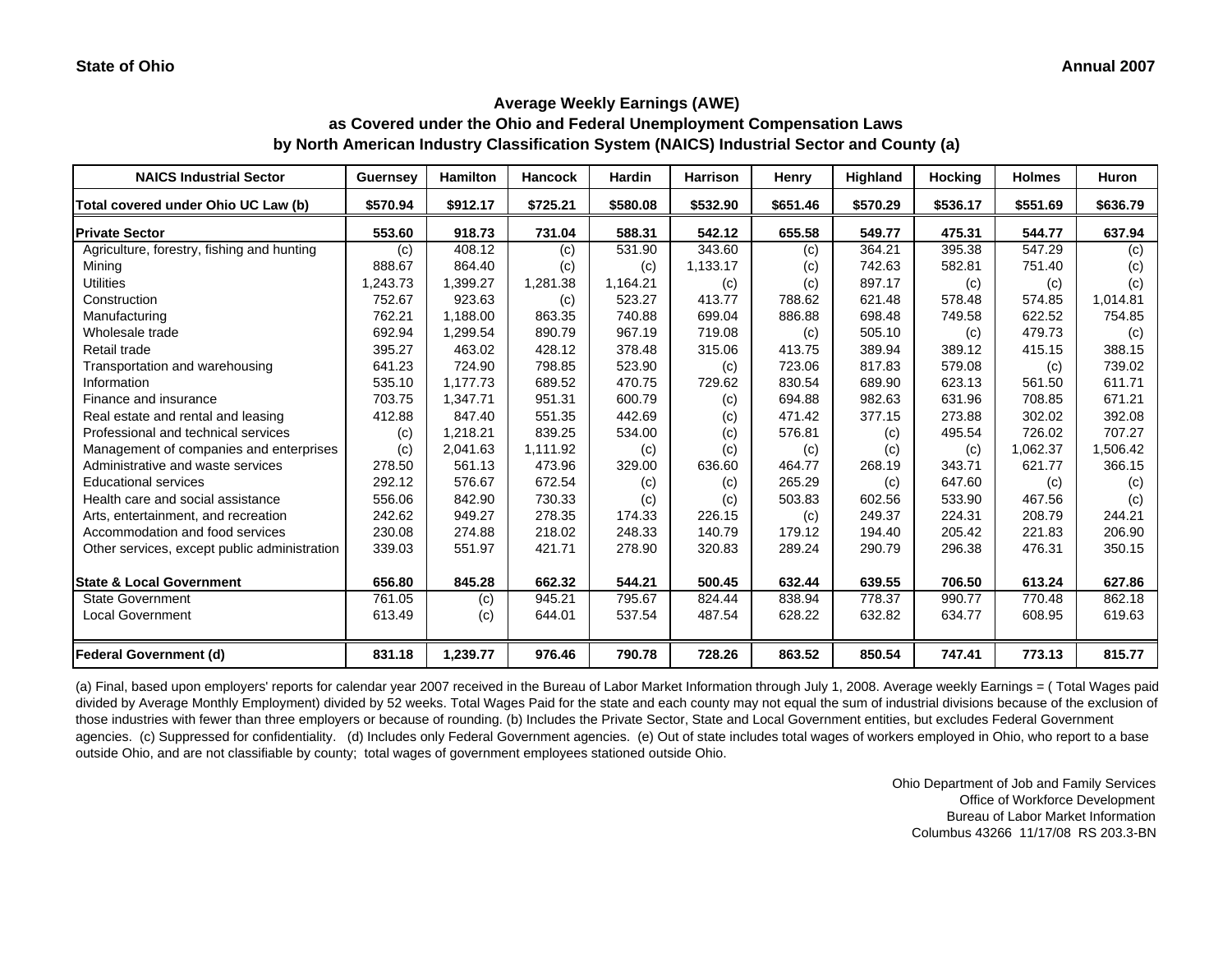**as Covered under the Ohio and Federal Unemployment Compensation Laws by North American Industry Classification System (NAICS) Industrial Sector and County (a)**

| <b>NAICS Industrial Sector</b>               | <b>Guernsey</b> | <b>Hamilton</b> | <b>Hancock</b> | <b>Hardin</b> | <b>Harrison</b> | Henry    | Highland | <b>Hocking</b> | <b>Holmes</b> | Huron    |
|----------------------------------------------|-----------------|-----------------|----------------|---------------|-----------------|----------|----------|----------------|---------------|----------|
| Total covered under Ohio UC Law (b)          | \$570.94        | \$912.17        | \$725.21       | \$580.08      | \$532.90        | \$651.46 | \$570.29 | \$536.17       | \$551.69      | \$636.79 |
| <b>Private Sector</b>                        | 553.60          | 918.73          | 731.04         | 588.31        | 542.12          | 655.58   | 549.77   | 475.31         | 544.77        | 637.94   |
| Agriculture, forestry, fishing and hunting   | (c)             | 408.12          | (c)            | 531.90        | 343.60          | (c)      | 364.21   | 395.38         | 547.29        | (c)      |
| Mining                                       | 888.67          | 864.40          | (c)            | (c)           | 1,133.17        | (c)      | 742.63   | 582.81         | 751.40        | (c)      |
| <b>Utilities</b>                             | 1,243.73        | 1,399.27        | 1,281.38       | 1,164.21      | (c)             | (c)      | 897.17   | (c)            | (c)           | (c)      |
| Construction                                 | 752.67          | 923.63          | (c)            | 523.27        | 413.77          | 788.62   | 621.48   | 578.48         | 574.85        | 1.014.81 |
| Manufacturing                                | 762.21          | 1,188.00        | 863.35         | 740.88        | 699.04          | 886.88   | 698.48   | 749.58         | 622.52        | 754.85   |
| Wholesale trade                              | 692.94          | 1,299.54        | 890.79         | 967.19        | 719.08          | (c)      | 505.10   | (c)            | 479.73        | (c)      |
| Retail trade                                 | 395.27          | 463.02          | 428.12         | 378.48        | 315.06          | 413.75   | 389.94   | 389.12         | 415.15        | 388.15   |
| Transportation and warehousing               | 641.23          | 724.90          | 798.85         | 523.90        | (c)             | 723.06   | 817.83   | 579.08         | (c)           | 739.02   |
| Information                                  | 535.10          | 1,177.73        | 689.52         | 470.75        | 729.62          | 830.54   | 689.90   | 623.13         | 561.50        | 611.71   |
| Finance and insurance                        | 703.75          | 1,347.71        | 951.31         | 600.79        | (c)             | 694.88   | 982.63   | 631.96         | 708.85        | 671.21   |
| Real estate and rental and leasing           | 412.88          | 847.40          | 551.35         | 442.69        | (c)             | 471.42   | 377.15   | 273.88         | 302.02        | 392.08   |
| Professional and technical services          | (c)             | 1,218.21        | 839.25         | 534.00        | (c)             | 576.81   | (c)      | 495.54         | 726.02        | 707.27   |
| Management of companies and enterprises      | (c)             | 2,041.63        | 1,111.92       | (c)           | (c)             | (c)      | (c)      | (c)            | 1,062.37      | 1,506.42 |
| Administrative and waste services            | 278.50          | 561.13          | 473.96         | 329.00        | 636.60          | 464.77   | 268.19   | 343.71         | 621.77        | 366.15   |
| <b>Educational services</b>                  | 292.12          | 576.67          | 672.54         | (c)           | (c)             | 265.29   | (c)      | 647.60         | (c)           | (c)      |
| Health care and social assistance            | 556.06          | 842.90          | 730.33         | (c)           | (c)             | 503.83   | 602.56   | 533.90         | 467.56        | (c)      |
| Arts, entertainment, and recreation          | 242.62          | 949.27          | 278.35         | 174.33        | 226.15          | (c)      | 249.37   | 224.31         | 208.79        | 244.21   |
| Accommodation and food services              | 230.08          | 274.88          | 218.02         | 248.33        | 140.79          | 179.12   | 194.40   | 205.42         | 221.83        | 206.90   |
| Other services, except public administration | 339.03          | 551.97          | 421.71         | 278.90        | 320.83          | 289.24   | 290.79   | 296.38         | 476.31        | 350.15   |
| <b>State &amp; Local Government</b>          | 656.80          | 845.28          | 662.32         | 544.21        | 500.45          | 632.44   | 639.55   | 706.50         | 613.24        | 627.86   |
| <b>State Government</b>                      | 761.05          | (c)             | 945.21         | 795.67        | 824.44          | 838.94   | 778.37   | 990.77         | 770.48        | 862.18   |
| <b>Local Government</b>                      | 613.49          | (c)             | 644.01         | 537.54        | 487.54          | 628.22   | 632.82   | 634.77         | 608.95        | 619.63   |
| <b>Federal Government (d)</b>                | 831.18          | 1,239.77        | 976.46         | 790.78        | 728.26          | 863.52   | 850.54   | 747.41         | 773.13        | 815.77   |

(a) Final, based upon employers' reports for calendar year 2007 received in the Bureau of Labor Market Information through July 1, 2008. Average weekly Earnings = ( Total Wages paid divided by Average Monthly Employment) divided by 52 weeks. Total Wages Paid for the state and each county may not equal the sum of industrial divisions because of the exclusion of those industries with fewer than three employers or because of rounding. (b) Includes the Private Sector, State and Local Government entities, but excludes Federal Government agencies. (c) Suppressed for confidentiality. (d) Includes only Federal Government agencies. (e) Out of state includes total wages of workers employed in Ohio, who report to a base outside Ohio, and are not classifiable by county; total wages of government employees stationed outside Ohio.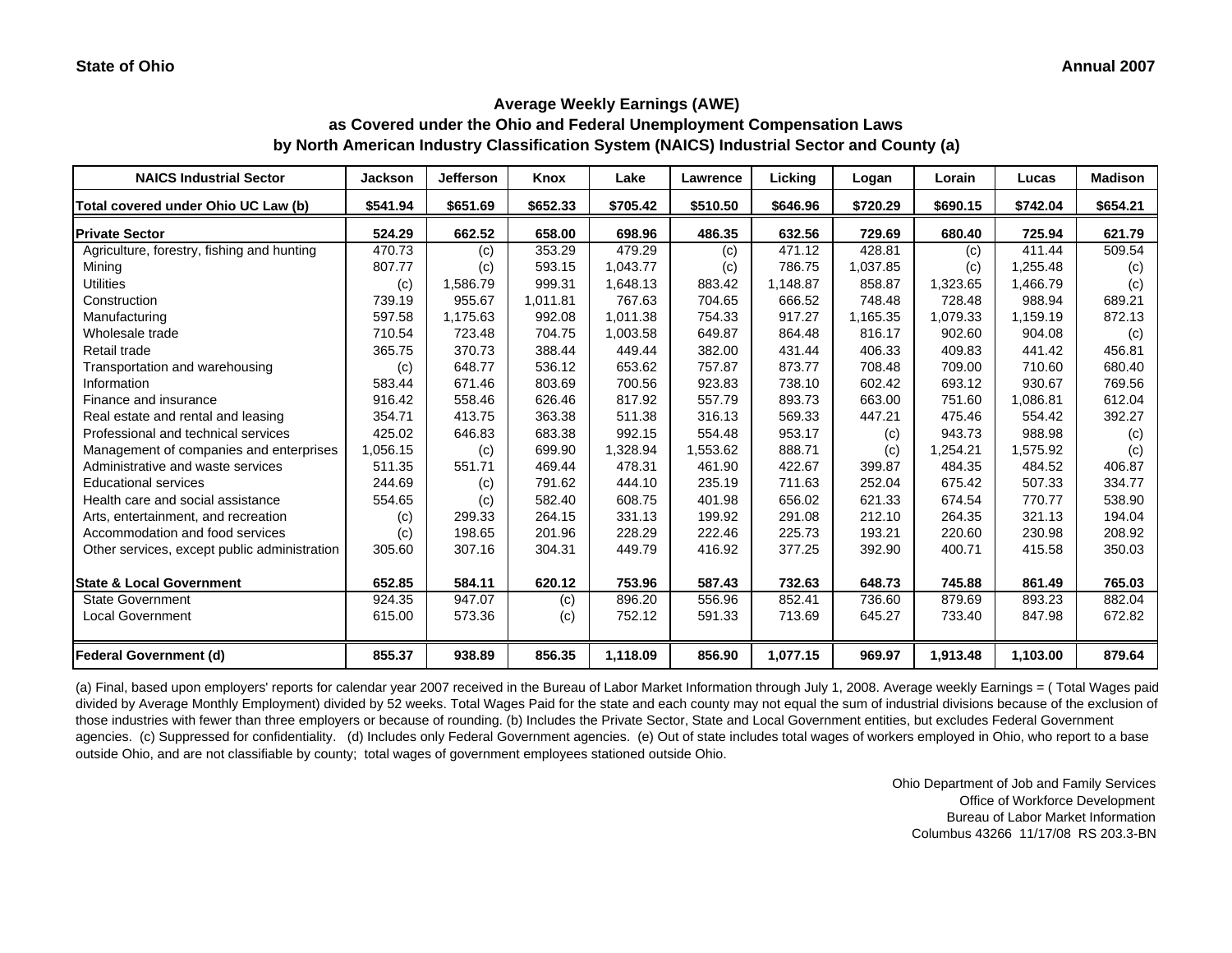**as Covered under the Ohio and Federal Unemployment Compensation Laws by North American Industry Classification System (NAICS) Industrial Sector and County (a)**

| <b>NAICS Industrial Sector</b>               | <b>Jackson</b> | <b>Jefferson</b> | Knox     | Lake     | <b>Lawrence</b> | Licking  | Logan    | Lorain   | Lucas    | <b>Madison</b> |
|----------------------------------------------|----------------|------------------|----------|----------|-----------------|----------|----------|----------|----------|----------------|
| Total covered under Ohio UC Law (b)          | \$541.94       | \$651.69         | \$652.33 | \$705.42 | \$510.50        | \$646.96 | \$720.29 | \$690.15 | \$742.04 | \$654.21       |
| <b>Private Sector</b>                        | 524.29         | 662.52           | 658.00   | 698.96   | 486.35          | 632.56   | 729.69   | 680.40   | 725.94   | 621.79         |
| Agriculture, forestry, fishing and hunting   | 470.73         | (c)              | 353.29   | 479.29   | (c)             | 471.12   | 428.81   | (c)      | 411.44   | 509.54         |
| Mining                                       | 807.77         | (c)              | 593.15   | 1,043.77 | (c)             | 786.75   | 1,037.85 | (c)      | 1,255.48 | (c)            |
| <b>Utilities</b>                             | (c)            | 1,586.79         | 999.31   | 1,648.13 | 883.42          | 1,148.87 | 858.87   | 1,323.65 | 1,466.79 | (c)            |
| Construction                                 | 739.19         | 955.67           | 1,011.81 | 767.63   | 704.65          | 666.52   | 748.48   | 728.48   | 988.94   | 689.21         |
| Manufacturing                                | 597.58         | 1,175.63         | 992.08   | 1,011.38 | 754.33          | 917.27   | 1,165.35 | 1,079.33 | 1,159.19 | 872.13         |
| Wholesale trade                              | 710.54         | 723.48           | 704.75   | 1,003.58 | 649.87          | 864.48   | 816.17   | 902.60   | 904.08   | (c)            |
| Retail trade                                 | 365.75         | 370.73           | 388.44   | 449.44   | 382.00          | 431.44   | 406.33   | 409.83   | 441.42   | 456.81         |
| Transportation and warehousing               | (c)            | 648.77           | 536.12   | 653.62   | 757.87          | 873.77   | 708.48   | 709.00   | 710.60   | 680.40         |
| Information                                  | 583.44         | 671.46           | 803.69   | 700.56   | 923.83          | 738.10   | 602.42   | 693.12   | 930.67   | 769.56         |
| Finance and insurance                        | 916.42         | 558.46           | 626.46   | 817.92   | 557.79          | 893.73   | 663.00   | 751.60   | 1,086.81 | 612.04         |
| Real estate and rental and leasing           | 354.71         | 413.75           | 363.38   | 511.38   | 316.13          | 569.33   | 447.21   | 475.46   | 554.42   | 392.27         |
| Professional and technical services          | 425.02         | 646.83           | 683.38   | 992.15   | 554.48          | 953.17   | (c)      | 943.73   | 988.98   | (c)            |
| Management of companies and enterprises      | 1,056.15       | (c)              | 699.90   | 1,328.94 | 1,553.62        | 888.71   | (c)      | 1,254.21 | 1,575.92 | (c)            |
| Administrative and waste services            | 511.35         | 551.71           | 469.44   | 478.31   | 461.90          | 422.67   | 399.87   | 484.35   | 484.52   | 406.87         |
| <b>Educational services</b>                  | 244.69         | (c)              | 791.62   | 444.10   | 235.19          | 711.63   | 252.04   | 675.42   | 507.33   | 334.77         |
| Health care and social assistance            | 554.65         | (c)              | 582.40   | 608.75   | 401.98          | 656.02   | 621.33   | 674.54   | 770.77   | 538.90         |
| Arts, entertainment, and recreation          | (c)            | 299.33           | 264.15   | 331.13   | 199.92          | 291.08   | 212.10   | 264.35   | 321.13   | 194.04         |
| Accommodation and food services              | (c)            | 198.65           | 201.96   | 228.29   | 222.46          | 225.73   | 193.21   | 220.60   | 230.98   | 208.92         |
| Other services, except public administration | 305.60         | 307.16           | 304.31   | 449.79   | 416.92          | 377.25   | 392.90   | 400.71   | 415.58   | 350.03         |
| <b>State &amp; Local Government</b>          | 652.85         | 584.11           | 620.12   | 753.96   | 587.43          | 732.63   | 648.73   | 745.88   | 861.49   | 765.03         |
| <b>State Government</b>                      | 924.35         | 947.07           | (c)      | 896.20   | 556.96          | 852.41   | 736.60   | 879.69   | 893.23   | 882.04         |
| <b>Local Government</b>                      | 615.00         | 573.36           | (c)      | 752.12   | 591.33          | 713.69   | 645.27   | 733.40   | 847.98   | 672.82         |
| <b>Federal Government (d)</b>                | 855.37         | 938.89           | 856.35   | 1,118.09 | 856.90          | 1,077.15 | 969.97   | 1,913.48 | 1,103.00 | 879.64         |

(a) Final, based upon employers' reports for calendar year 2007 received in the Bureau of Labor Market Information through July 1, 2008. Average weekly Earnings = ( Total Wages paid divided by Average Monthly Employment) divided by 52 weeks. Total Wages Paid for the state and each county may not equal the sum of industrial divisions because of the exclusion of those industries with fewer than three employers or because of rounding. (b) Includes the Private Sector, State and Local Government entities, but excludes Federal Government agencies. (c) Suppressed for confidentiality. (d) Includes only Federal Government agencies. (e) Out of state includes total wages of workers employed in Ohio, who report to a base outside Ohio, and are not classifiable by county; total wages of government employees stationed outside Ohio.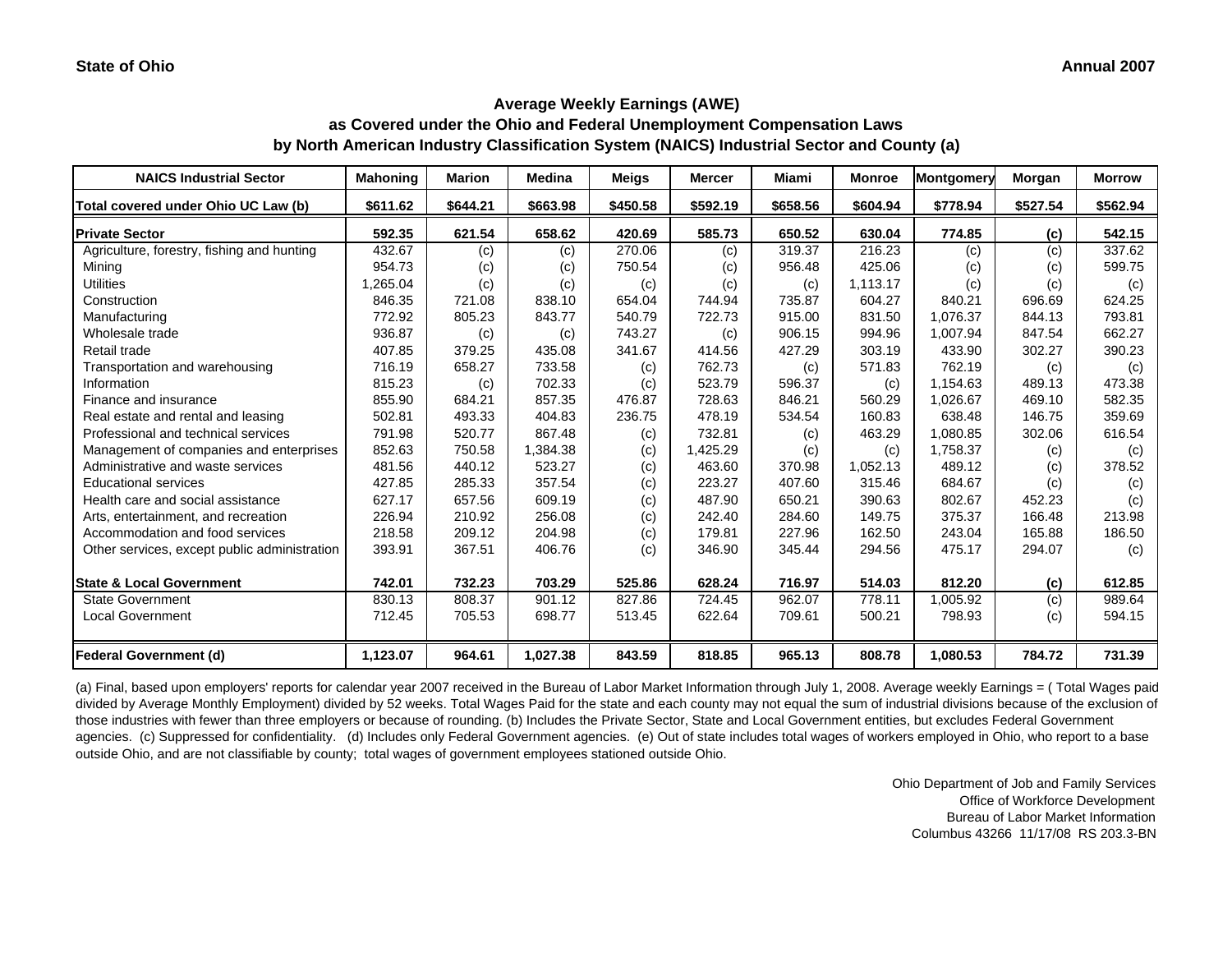**as Covered under the Ohio and Federal Unemployment Compensation Laws by North American Industry Classification System (NAICS) Industrial Sector and County (a)**

| <b>NAICS Industrial Sector</b>               | <b>Mahoning</b> | <b>Marion</b> | <b>Medina</b> | <b>Meigs</b> | <b>Mercer</b> | Miami    | <b>Monroe</b> | Montgomery | Morgan   | <b>Morrow</b> |
|----------------------------------------------|-----------------|---------------|---------------|--------------|---------------|----------|---------------|------------|----------|---------------|
| Total covered under Ohio UC Law (b)          | \$611.62        | \$644.21      | \$663.98      | \$450.58     | \$592.19      | \$658.56 | \$604.94      | \$778.94   | \$527.54 | \$562.94      |
| <b>Private Sector</b>                        | 592.35          | 621.54        | 658.62        | 420.69       | 585.73        | 650.52   | 630.04        | 774.85     | (c)      | 542.15        |
| Agriculture, forestry, fishing and hunting   | 432.67          | (c)           | (c)           | 270.06       | (c)           | 319.37   | 216.23        | (c)        | (c)      | 337.62        |
| Mining                                       | 954.73          | (c)           | (c)           | 750.54       | (c)           | 956.48   | 425.06        | (c)        | (c)      | 599.75        |
| <b>Utilities</b>                             | 1,265.04        | (c)           | (c)           | (c)          | (c)           | (c)      | 1,113.17      | (c)        | (c)      | (c)           |
| Construction                                 | 846.35          | 721.08        | 838.10        | 654.04       | 744.94        | 735.87   | 604.27        | 840.21     | 696.69   | 624.25        |
| Manufacturing                                | 772.92          | 805.23        | 843.77        | 540.79       | 722.73        | 915.00   | 831.50        | 1,076.37   | 844.13   | 793.81        |
| Wholesale trade                              | 936.87          | (c)           | (c)           | 743.27       | (c)           | 906.15   | 994.96        | 1,007.94   | 847.54   | 662.27        |
| Retail trade                                 | 407.85          | 379.25        | 435.08        | 341.67       | 414.56        | 427.29   | 303.19        | 433.90     | 302.27   | 390.23        |
| Transportation and warehousing               | 716.19          | 658.27        | 733.58        | (c)          | 762.73        | (c)      | 571.83        | 762.19     | (c)      | (c)           |
| Information                                  | 815.23          | (c)           | 702.33        | (c)          | 523.79        | 596.37   | (c)           | 1,154.63   | 489.13   | 473.38        |
| Finance and insurance                        | 855.90          | 684.21        | 857.35        | 476.87       | 728.63        | 846.21   | 560.29        | 1,026.67   | 469.10   | 582.35        |
| Real estate and rental and leasing           | 502.81          | 493.33        | 404.83        | 236.75       | 478.19        | 534.54   | 160.83        | 638.48     | 146.75   | 359.69        |
| Professional and technical services          | 791.98          | 520.77        | 867.48        | (c)          | 732.81        | (c)      | 463.29        | 1,080.85   | 302.06   | 616.54        |
| Management of companies and enterprises      | 852.63          | 750.58        | 1,384.38      | (c)          | 1,425.29      | (c)      | (c)           | 1,758.37   | (c)      | (c)           |
| Administrative and waste services            | 481.56          | 440.12        | 523.27        | (c)          | 463.60        | 370.98   | 1,052.13      | 489.12     | (c)      | 378.52        |
| <b>Educational services</b>                  | 427.85          | 285.33        | 357.54        | (c)          | 223.27        | 407.60   | 315.46        | 684.67     | (c)      | (c)           |
| Health care and social assistance            | 627.17          | 657.56        | 609.19        | (c)          | 487.90        | 650.21   | 390.63        | 802.67     | 452.23   | (c)           |
| Arts, entertainment, and recreation          | 226.94          | 210.92        | 256.08        | (c)          | 242.40        | 284.60   | 149.75        | 375.37     | 166.48   | 213.98        |
| Accommodation and food services              | 218.58          | 209.12        | 204.98        | (c)          | 179.81        | 227.96   | 162.50        | 243.04     | 165.88   | 186.50        |
| Other services, except public administration | 393.91          | 367.51        | 406.76        | (c)          | 346.90        | 345.44   | 294.56        | 475.17     | 294.07   | (c)           |
| <b>State &amp; Local Government</b>          | 742.01          | 732.23        | 703.29        | 525.86       | 628.24        | 716.97   | 514.03        | 812.20     | (c)      | 612.85        |
| <b>State Government</b>                      | 830.13          | 808.37        | 901.12        | 827.86       | 724.45        | 962.07   | 778.11        | 1,005.92   | (c)      | 989.64        |
| <b>Local Government</b>                      | 712.45          | 705.53        | 698.77        | 513.45       | 622.64        | 709.61   | 500.21        | 798.93     | (c)      | 594.15        |
| <b>Federal Government (d)</b>                | 1,123.07        | 964.61        | 1,027.38      | 843.59       | 818.85        | 965.13   | 808.78        | 1,080.53   | 784.72   | 731.39        |

(a) Final, based upon employers' reports for calendar year 2007 received in the Bureau of Labor Market Information through July 1, 2008. Average weekly Earnings = ( Total Wages paid divided by Average Monthly Employment) divided by 52 weeks. Total Wages Paid for the state and each county may not equal the sum of industrial divisions because of the exclusion of those industries with fewer than three employers or because of rounding. (b) Includes the Private Sector, State and Local Government entities, but excludes Federal Government agencies. (c) Suppressed for confidentiality. (d) Includes only Federal Government agencies. (e) Out of state includes total wages of workers employed in Ohio, who report to a base outside Ohio, and are not classifiable by county; total wages of government employees stationed outside Ohio.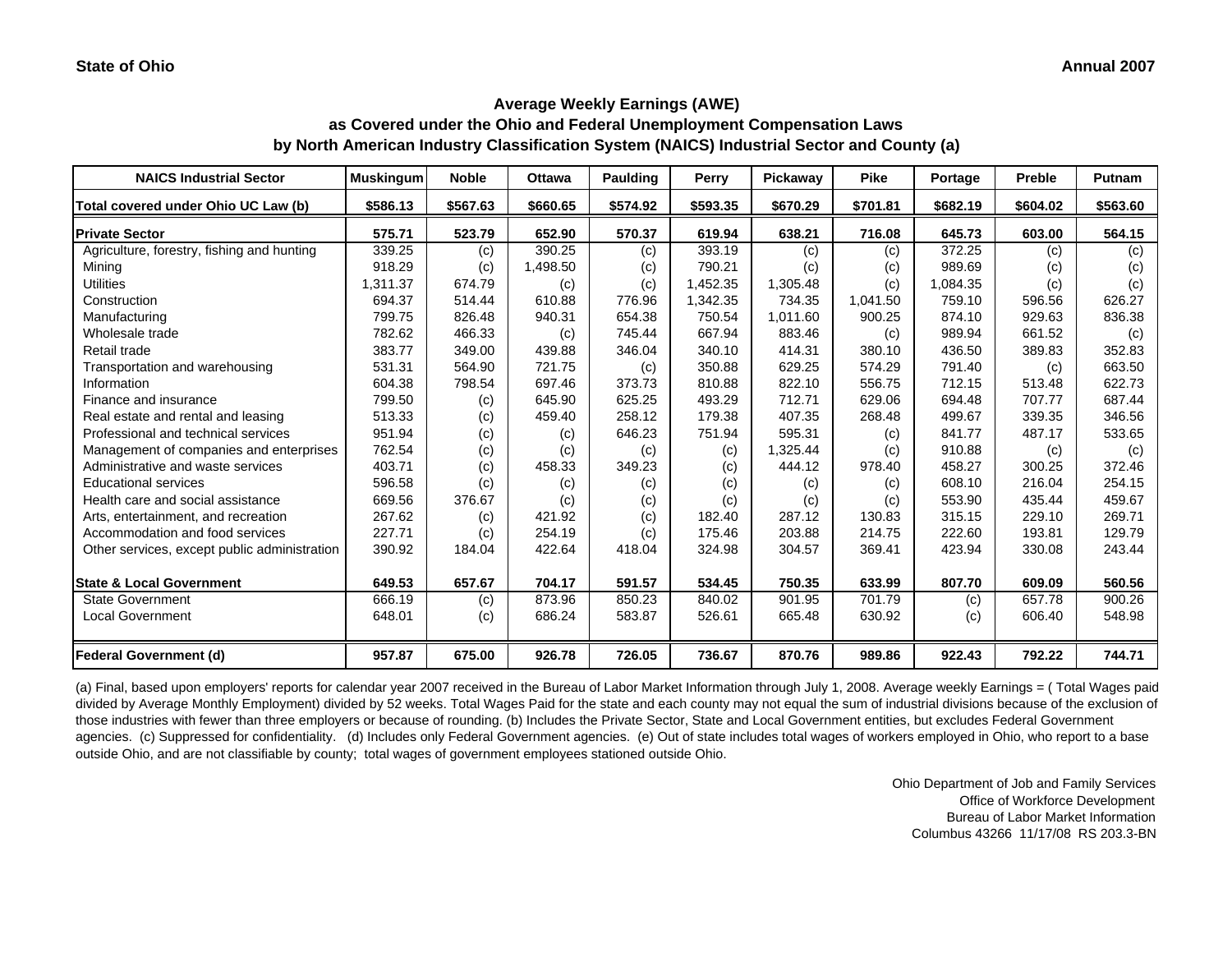**as Covered under the Ohio and Federal Unemployment Compensation Laws by North American Industry Classification System (NAICS) Industrial Sector and County (a)**

| <b>NAICS Industrial Sector</b>               | <b>Muskingum</b> | <b>Noble</b> | <b>Ottawa</b> | Paulding | Perry    | Pickaway | <b>Pike</b> | Portage  | <b>Preble</b> | <b>Putnam</b> |
|----------------------------------------------|------------------|--------------|---------------|----------|----------|----------|-------------|----------|---------------|---------------|
| Total covered under Ohio UC Law (b)          | \$586.13         | \$567.63     | \$660.65      | \$574.92 | \$593.35 | \$670.29 | \$701.81    | \$682.19 | \$604.02      | \$563.60      |
| <b>Private Sector</b>                        | 575.71           | 523.79       | 652.90        | 570.37   | 619.94   | 638.21   | 716.08      | 645.73   | 603.00        | 564.15        |
| Agriculture, forestry, fishing and hunting   | 339.25           | (c)          | 390.25        | (c)      | 393.19   | (c)      | (c)         | 372.25   | (c)           | (c)           |
| Mining                                       | 918.29           | (c)          | 1,498.50      | (c)      | 790.21   | (c)      | (c)         | 989.69   | (c)           | (c)           |
| <b>Utilities</b>                             | 1,311.37         | 674.79       | (c)           | (c)      | 1,452.35 | 1,305.48 | (c)         | 1,084.35 | (c)           | (c)           |
| Construction                                 | 694.37           | 514.44       | 610.88        | 776.96   | 1,342.35 | 734.35   | 1.041.50    | 759.10   | 596.56        | 626.27        |
| Manufacturing                                | 799.75           | 826.48       | 940.31        | 654.38   | 750.54   | 1,011.60 | 900.25      | 874.10   | 929.63        | 836.38        |
| Wholesale trade                              | 782.62           | 466.33       | (c)           | 745.44   | 667.94   | 883.46   | (c)         | 989.94   | 661.52        | (c)           |
| Retail trade                                 | 383.77           | 349.00       | 439.88        | 346.04   | 340.10   | 414.31   | 380.10      | 436.50   | 389.83        | 352.83        |
| Transportation and warehousing               | 531.31           | 564.90       | 721.75        | (c)      | 350.88   | 629.25   | 574.29      | 791.40   | (c)           | 663.50        |
| Information                                  | 604.38           | 798.54       | 697.46        | 373.73   | 810.88   | 822.10   | 556.75      | 712.15   | 513.48        | 622.73        |
| Finance and insurance                        | 799.50           | (c)          | 645.90        | 625.25   | 493.29   | 712.71   | 629.06      | 694.48   | 707.77        | 687.44        |
| Real estate and rental and leasing           | 513.33           | (c)          | 459.40        | 258.12   | 179.38   | 407.35   | 268.48      | 499.67   | 339.35        | 346.56        |
| Professional and technical services          | 951.94           | (c)          | (c)           | 646.23   | 751.94   | 595.31   | (c)         | 841.77   | 487.17        | 533.65        |
| Management of companies and enterprises      | 762.54           | (c)          | (c)           | (c)      | (c)      | 1,325.44 | (c)         | 910.88   | (c)           | (c)           |
| Administrative and waste services            | 403.71           | (c)          | 458.33        | 349.23   | (c)      | 444.12   | 978.40      | 458.27   | 300.25        | 372.46        |
| <b>Educational services</b>                  | 596.58           | (c)          | (c)           | (c)      | (c)      | (c)      | (c)         | 608.10   | 216.04        | 254.15        |
| Health care and social assistance            | 669.56           | 376.67       | (c)           | (c)      | (c)      | (c)      | (c)         | 553.90   | 435.44        | 459.67        |
| Arts, entertainment, and recreation          | 267.62           | (c)          | 421.92        | (c)      | 182.40   | 287.12   | 130.83      | 315.15   | 229.10        | 269.71        |
| Accommodation and food services              | 227.71           | (c)          | 254.19        | (c)      | 175.46   | 203.88   | 214.75      | 222.60   | 193.81        | 129.79        |
| Other services, except public administration | 390.92           | 184.04       | 422.64        | 418.04   | 324.98   | 304.57   | 369.41      | 423.94   | 330.08        | 243.44        |
| <b>State &amp; Local Government</b>          | 649.53           | 657.67       | 704.17        | 591.57   | 534.45   | 750.35   | 633.99      | 807.70   | 609.09        | 560.56        |
| <b>State Government</b>                      | 666.19           | (c)          | 873.96        | 850.23   | 840.02   | 901.95   | 701.79      | (c)      | 657.78        | 900.26        |
| <b>Local Government</b>                      | 648.01           | (c)          | 686.24        | 583.87   | 526.61   | 665.48   | 630.92      | (c)      | 606.40        | 548.98        |
| <b>Federal Government (d)</b>                | 957.87           | 675.00       | 926.78        | 726.05   | 736.67   | 870.76   | 989.86      | 922.43   | 792.22        | 744.71        |

(a) Final, based upon employers' reports for calendar year 2007 received in the Bureau of Labor Market Information through July 1, 2008. Average weekly Earnings = ( Total Wages paid divided by Average Monthly Employment) divided by 52 weeks. Total Wages Paid for the state and each county may not equal the sum of industrial divisions because of the exclusion of those industries with fewer than three employers or because of rounding. (b) Includes the Private Sector, State and Local Government entities, but excludes Federal Government agencies. (c) Suppressed for confidentiality. (d) Includes only Federal Government agencies. (e) Out of state includes total wages of workers employed in Ohio, who report to a base outside Ohio, and are not classifiable by county; total wages of government employees stationed outside Ohio.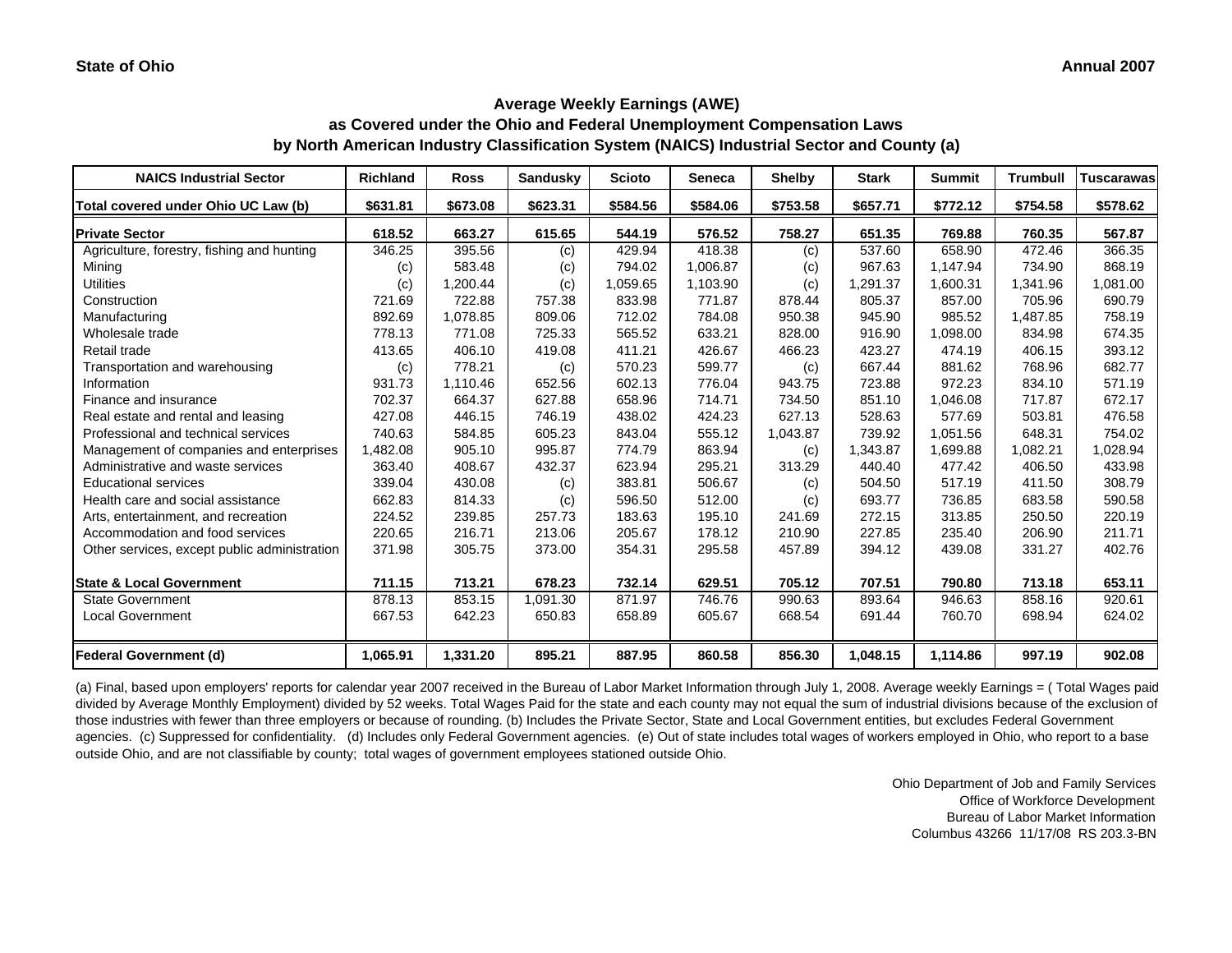**as Covered under the Ohio and Federal Unemployment Compensation Laws by North American Industry Classification System (NAICS) Industrial Sector and County (a)**

| <b>NAICS Industrial Sector</b>               | <b>Richland</b> | <b>Ross</b> | <b>Sandusky</b> | <b>Scioto</b> | <b>Seneca</b> | <b>Shelby</b> | <b>Stark</b> | <b>Summit</b> | <b>Trumbull</b> | Tuscarawas |
|----------------------------------------------|-----------------|-------------|-----------------|---------------|---------------|---------------|--------------|---------------|-----------------|------------|
| Total covered under Ohio UC Law (b)          | \$631.81        | \$673.08    | \$623.31        | \$584.56      | \$584.06      | \$753.58      | \$657.71     | \$772.12      | \$754.58        | \$578.62   |
| <b>Private Sector</b>                        | 618.52          | 663.27      | 615.65          | 544.19        | 576.52        | 758.27        | 651.35       | 769.88        | 760.35          | 567.87     |
| Agriculture, forestry, fishing and hunting   | 346.25          | 395.56      | (c)             | 429.94        | 418.38        | (c)           | 537.60       | 658.90        | 472.46          | 366.35     |
| Mining                                       | (c)             | 583.48      | (c)             | 794.02        | 1,006.87      | (c)           | 967.63       | 1,147.94      | 734.90          | 868.19     |
| <b>Utilities</b>                             | (c)             | 1,200.44    | (c)             | 1,059.65      | 1,103.90      | (c)           | 1,291.37     | 1,600.31      | 1,341.96        | 1,081.00   |
| Construction                                 | 721.69          | 722.88      | 757.38          | 833.98        | 771.87        | 878.44        | 805.37       | 857.00        | 705.96          | 690.79     |
| Manufacturing                                | 892.69          | 1,078.85    | 809.06          | 712.02        | 784.08        | 950.38        | 945.90       | 985.52        | 1,487.85        | 758.19     |
| Wholesale trade                              | 778.13          | 771.08      | 725.33          | 565.52        | 633.21        | 828.00        | 916.90       | 1,098.00      | 834.98          | 674.35     |
| Retail trade                                 | 413.65          | 406.10      | 419.08          | 411.21        | 426.67        | 466.23        | 423.27       | 474.19        | 406.15          | 393.12     |
| Transportation and warehousing               | (c)             | 778.21      | (c)             | 570.23        | 599.77        | (c)           | 667.44       | 881.62        | 768.96          | 682.77     |
| Information                                  | 931.73          | 1,110.46    | 652.56          | 602.13        | 776.04        | 943.75        | 723.88       | 972.23        | 834.10          | 571.19     |
| Finance and insurance                        | 702.37          | 664.37      | 627.88          | 658.96        | 714.71        | 734.50        | 851.10       | 1,046.08      | 717.87          | 672.17     |
| Real estate and rental and leasing           | 427.08          | 446.15      | 746.19          | 438.02        | 424.23        | 627.13        | 528.63       | 577.69        | 503.81          | 476.58     |
| Professional and technical services          | 740.63          | 584.85      | 605.23          | 843.04        | 555.12        | 1,043.87      | 739.92       | 1,051.56      | 648.31          | 754.02     |
| Management of companies and enterprises      | .482.08         | 905.10      | 995.87          | 774.79        | 863.94        | (c)           | 1,343.87     | 1,699.88      | 1,082.21        | 1,028.94   |
| Administrative and waste services            | 363.40          | 408.67      | 432.37          | 623.94        | 295.21        | 313.29        | 440.40       | 477.42        | 406.50          | 433.98     |
| <b>Educational services</b>                  | 339.04          | 430.08      | (c)             | 383.81        | 506.67        | (c)           | 504.50       | 517.19        | 411.50          | 308.79     |
| Health care and social assistance            | 662.83          | 814.33      | (c)             | 596.50        | 512.00        | (c)           | 693.77       | 736.85        | 683.58          | 590.58     |
| Arts, entertainment, and recreation          | 224.52          | 239.85      | 257.73          | 183.63        | 195.10        | 241.69        | 272.15       | 313.85        | 250.50          | 220.19     |
| Accommodation and food services              | 220.65          | 216.71      | 213.06          | 205.67        | 178.12        | 210.90        | 227.85       | 235.40        | 206.90          | 211.71     |
| Other services, except public administration | 371.98          | 305.75      | 373.00          | 354.31        | 295.58        | 457.89        | 394.12       | 439.08        | 331.27          | 402.76     |
| <b>State &amp; Local Government</b>          | 711.15          | 713.21      | 678.23          | 732.14        | 629.51        | 705.12        | 707.51       | 790.80        | 713.18          | 653.11     |
| <b>State Government</b>                      | 878.13          | 853.15      | 1,091.30        | 871.97        | 746.76        | 990.63        | 893.64       | 946.63        | 858.16          | 920.61     |
| <b>Local Government</b>                      | 667.53          | 642.23      | 650.83          | 658.89        | 605.67        | 668.54        | 691.44       | 760.70        | 698.94          | 624.02     |
| <b>Federal Government (d)</b>                | 1,065.91        | 1,331.20    | 895.21          | 887.95        | 860.58        | 856.30        | 1,048.15     | 1,114.86      | 997.19          | 902.08     |

(a) Final, based upon employers' reports for calendar year 2007 received in the Bureau of Labor Market Information through July 1, 2008. Average weekly Earnings = ( Total Wages paid divided by Average Monthly Employment) divided by 52 weeks. Total Wages Paid for the state and each county may not equal the sum of industrial divisions because of the exclusion of those industries with fewer than three employers or because of rounding. (b) Includes the Private Sector, State and Local Government entities, but excludes Federal Government agencies. (c) Suppressed for confidentiality. (d) Includes only Federal Government agencies. (e) Out of state includes total wages of workers employed in Ohio, who report to a base outside Ohio, and are not classifiable by county; total wages of government employees stationed outside Ohio.